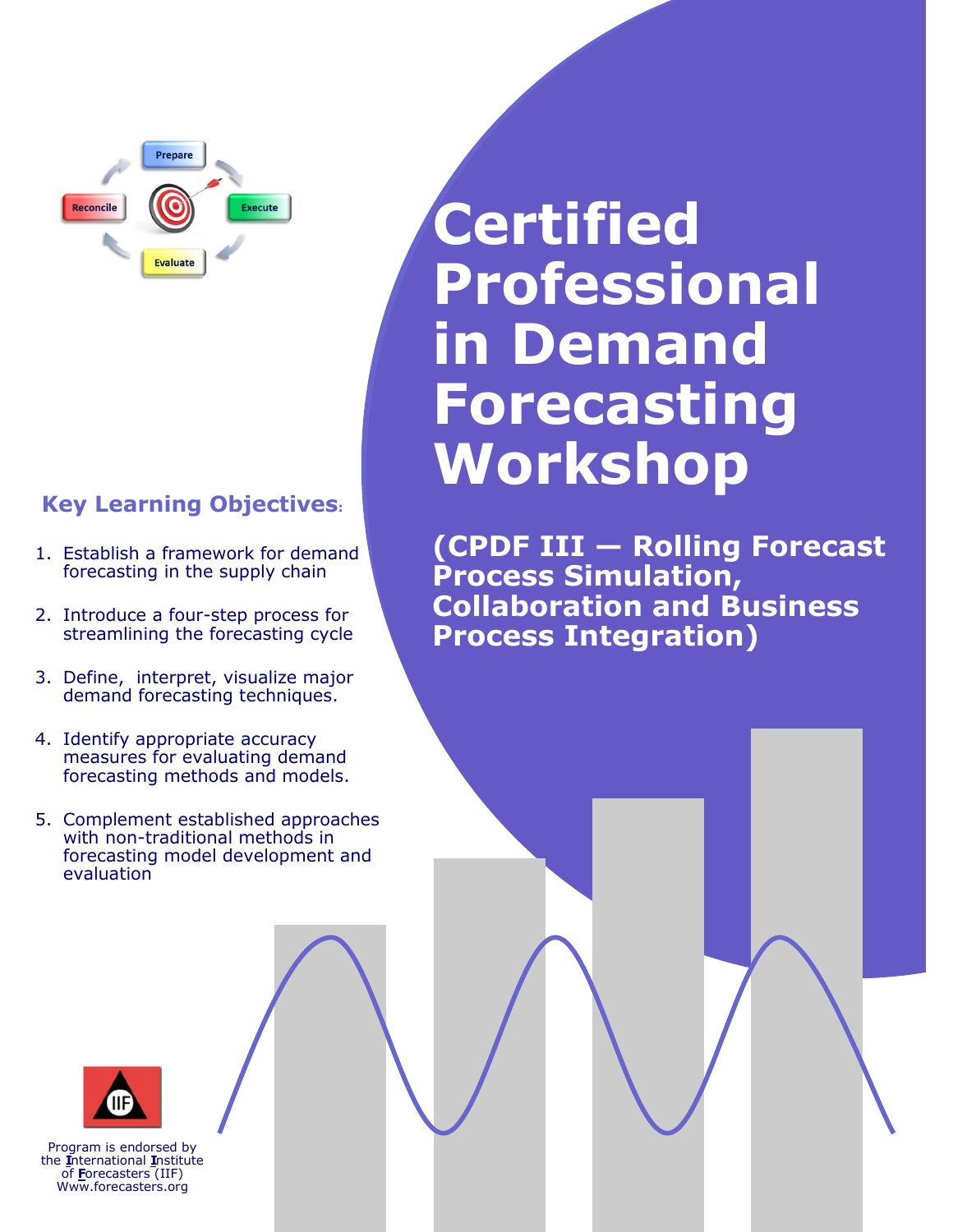

## **Key Learning Objectives:**

- 1. Establish a framework for demand forecasting in the supply chain
- 2. Introduce a four-step process for streamlining the forecasting cycle
- 3. Define, interpret, visualize major demand forecasting techniques.
- 4. Identify appropriate accuracy measures for evaluating demand forecasting methods and models.
- 5. Complement established approaches with non-traditional methods in forecasting model development and evaluation

# **Certified Professional in Demand Forecasting Workshop**

**(CPDF III — Rolling Forecast Process Simulation, Collaboration and Business Process Integration)**



Program is endorsed by the **I**nternational **I**nstitute of **F**orecasters (IIF) Www.forecasters.org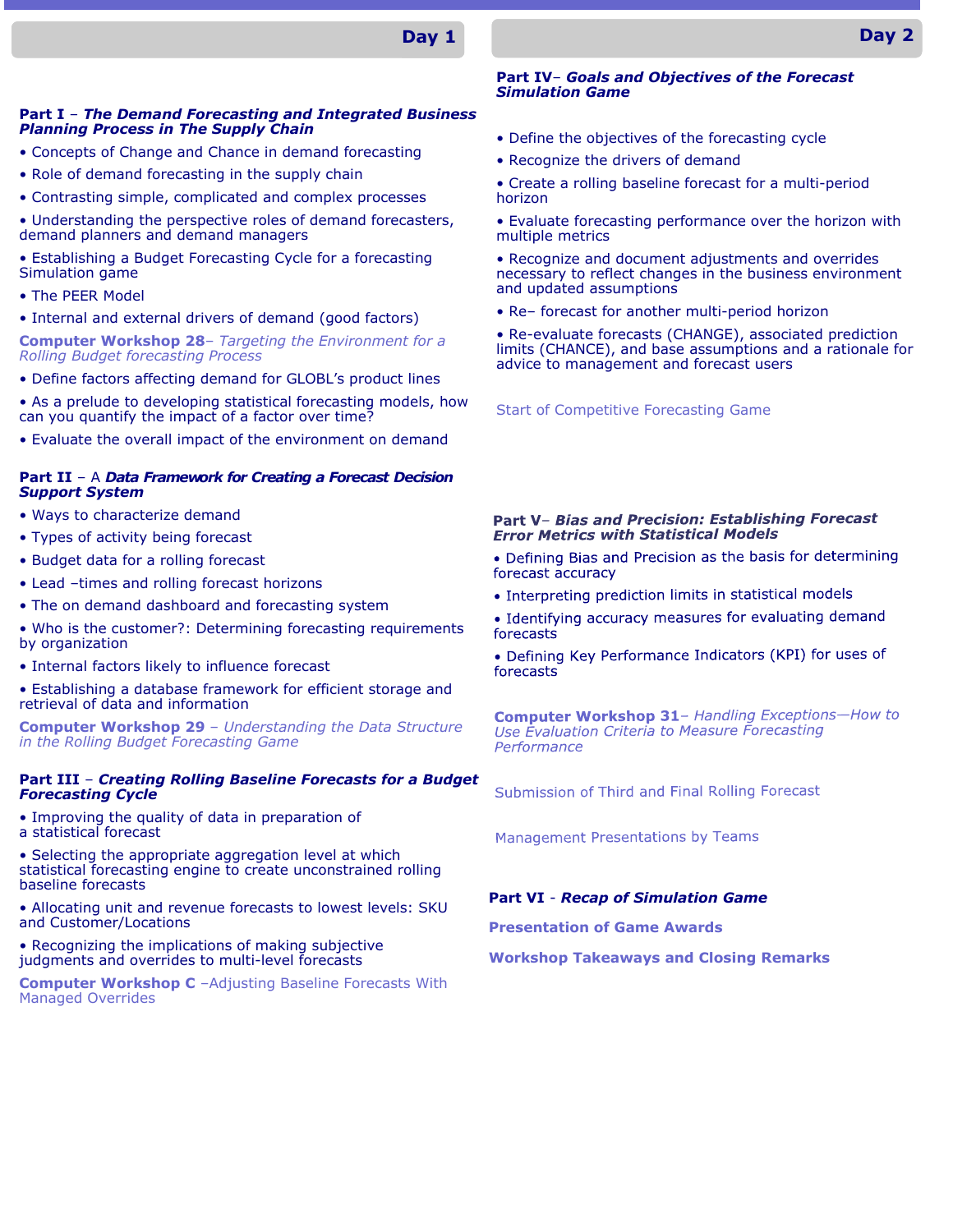### **Day 1**

#### **Part I** – *The Demand Forecasting and Integrated Business Planning Process in The Supply Chain*

- Concepts of Change and Chance in demand forecasting
- Role of demand forecasting in the supply chain
- Contrasting simple, complicated and complex processes
- Understanding the perspective roles of demand forecasters, demand planners and demand managers
- Establishing a Budget Forecasting Cycle for a forecasting Simulation game
- The PEER Model
- Internal and external drivers of demand (good factors)

**Computer Workshop 28**– *Targeting the Environment for a Rolling Budget forecasting Process*

- Define factors affecting demand for GLOBL's product lines
- As a prelude to developing statistical forecasting models, how can you quantify the impact of a factor over time?
- Evaluate the overall impact of the environment on demand

#### **Part II** – A *Data Framework for Creating a Forecast Decision Support System*

- Ways to characterize demand
- Types of activity being forecast
- Budget data for a rolling forecast
- Lead –times and rolling forecast horizons
- The on demand dashboard and forecasting system
- Who is the customer?: Determining forecasting requirements by organization
- Internal factors likely to influence forecast
- Establishing a database framework for efficient storage and retrieval of data and information

**Computer Workshop 29** – *Understanding the Data Structure in the Rolling Budget Forecasting Game*

#### **Part III** – *Creating Rolling Baseline Forecasts for a Budget Forecasting Cycle*

- Improving the quality of data in preparation of
- a statistical forecast

• Selecting the appropriate aggregation level at which statistical forecasting engine to create unconstrained rolling baseline forecasts

• Allocating unit and revenue forecasts to lowest levels: SKU and Customer/Locations

• Recognizing the implications of making subjective judgments and overrides to multi-level forecasts

**Computer Workshop C** –Adjusting Baseline Forecasts With Managed Overrides

#### **Part IV**– *Goals and Objectives of the Forecast Simulation Game*

- Define the objectives of the forecasting cycle
- Recognize the drivers of demand
- Create a rolling baseline forecast for a multi-period horizon
- Evaluate forecasting performance over the horizon with multiple metrics
- Recognize and document adjustments and overrides necessary to reflect changes in the business environment and updated assumptions
- Re– forecast for another multi-period horizon

• Re-evaluate forecasts (CHANGE), associated prediction limits (CHANCE), and base assumptions and a rationale for advice to management and forecast users

Start of Competitive Forecasting Game

#### Part V- Bias and Precision: Establishing Forecast **Error Metrics with Statistical Models**

- Defining Bias and Precision as the basis for determining forecast accuracy
- Interpreting prediction limits in statistical models
- Identifying accuracy measures for evaluating demand forecasts

• Defining Key Performance Indicators (KPI) for uses of forecasts

**Computer Workshop 31- Handling Exceptions-How to** Use Evaluation Criteria to Measure Forecasting Performance

Submission of Third and Final Rolling Forecast

**Management Presentations by Teams** 

#### **Part VI** - *Recap of Simulation Game*

**Presentation of Game Awards**

**Workshop Takeaways and Closing Remarks**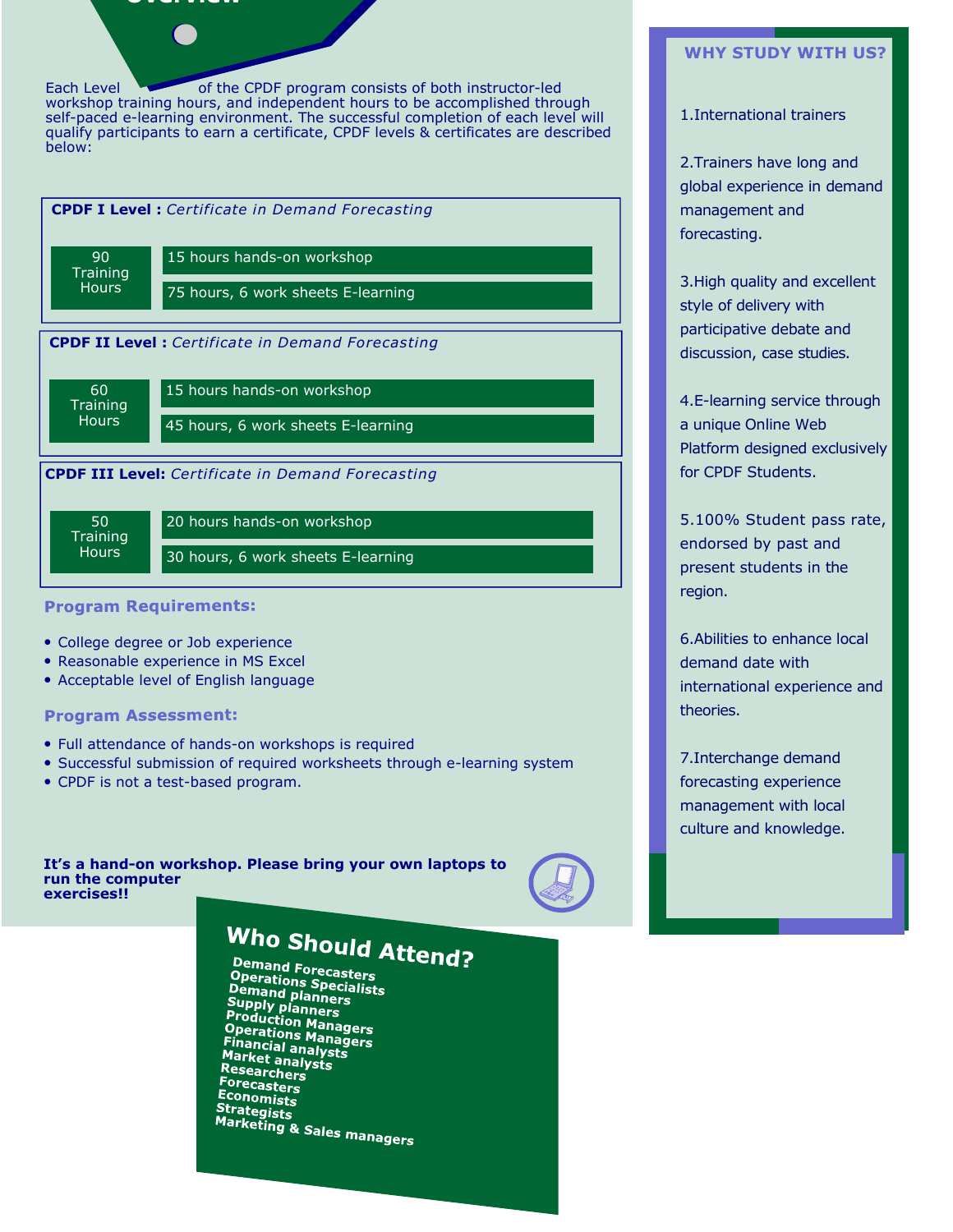### **Overview**

Each Level of the CPDF program consists of both instructor-led workshop training hours, and independent hours to be accomplished through self-paced e-learning environment. The successful completion of each level will qualify participants to earn a certificate, CPDF levels & certificates are described below:



#### **Program Requirements:**

- College degree or Job experience
- Reasonable experience in MS Excel
- Acceptable level of English language

#### **Program Assessment:**

- Full attendance of hands-on workshops is required
- Successful submission of required worksheets through e-learning system
- CPDF is not a test-based program.

**It's a hand-on workshop. Please bring your own laptops to run the computer exercises!!** 



## Who Should Attend?

Demand Forecasters **Comand Forecasters<br>Operations Specialists<br>Demand planners Operations Specialists<br>Demand planners<br>Supply planners<br>Production Managers<br>Operations Managers<br>Financial analysts Frecations Manag<br>Financial analysts<br>Market analysts Market analys**<br>Market analysts<br>Researchors Researchers Forecasters Economists Strategists **Callegists**<br>Marketing & Sales managers

#### **WHY STUDY WITH US?**

#### 1.International trainers

2.Trainers have long and global experience in demand management and forecasting.

3.High quality and excellent style of delivery with participative debate and discussion, case studies.

4.E-learning service through a unique Online Web Platform designed exclusively for CPDF Students.

5.100% Student pass rate, endorsed by past and present students in the region.

6.Abilities to enhance local demand date with international experience and theories.

7.Interchange demand forecasting experience management with local culture and knowledge.